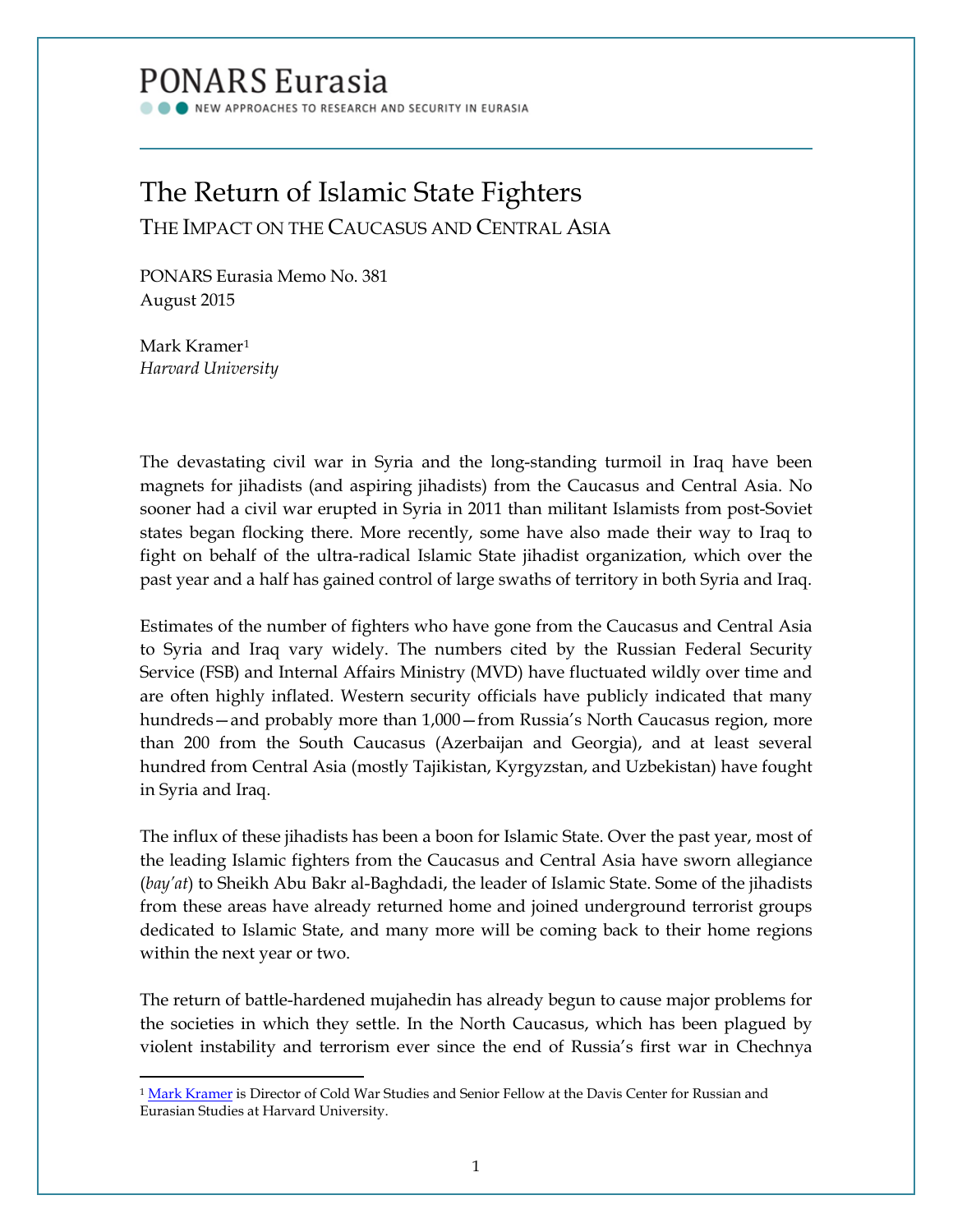## **PONARS Eurasia**

NEW APPROACHES TO RESEARCH AND SECURITY IN EURASIA

# The Return of Islamic State Fighters

THE IMPACT ON THE CAUCASUS AND CENTRAL ASIA

PONARS Eurasia Memo No. 381 August 2015

Mark Kramer[1](#page-0-0) *Harvard University*

l

The devastating civil war in Syria and the long-standing turmoil in Iraq have been magnets for jihadists (and aspiring jihadists) from the Caucasus and Central Asia. No sooner had a civil war erupted in Syria in 2011 than militant Islamists from post-Soviet states began flocking there. More recently, some have also made their way to Iraq to fight on behalf of the ultra-radical Islamic State jihadist organization, which over the past year and a half has gained control of large swaths of territory in both Syria and Iraq.

Estimates of the number of fighters who have gone from the Caucasus and Central Asia to Syria and Iraq vary widely. The numbers cited by the Russian Federal Security Service (FSB) and Internal Affairs Ministry (MVD) have fluctuated wildly over time and are often highly inflated. Western security officials have publicly indicated that many hundreds—and probably more than 1,000—from Russia's North Caucasus region, more than 200 from the South Caucasus (Azerbaijan and Georgia), and at least several hundred from Central Asia (mostly Tajikistan, Kyrgyzstan, and Uzbekistan) have fought in Syria and Iraq.

The influx of these jihadists has been a boon for Islamic State. Over the past year, most of the leading Islamic fighters from the Caucasus and Central Asia have sworn allegiance (*bay'at*) to Sheikh Abu Bakr al-Baghdadi, the leader of Islamic State. Some of the jihadists from these areas have already returned home and joined underground terrorist groups dedicated to Islamic State, and many more will be coming back to their home regions within the next year or two.

The return of battle-hardened mujahedin has already begun to cause major problems for the societies in which they settle. In the North Caucasus, which has been plagued by violent instability and terrorism ever since the end of Russia's first war in Chechnya

<span id="page-0-0"></span><sup>&</sup>lt;sup>1</sup> [Mark Kramer](http://www.ponarseurasia.org/members/mark-kramer) is Director of Cold War Studies and Senior Fellow at the Davis Center for Russian and Eurasian Studies at Harvard University.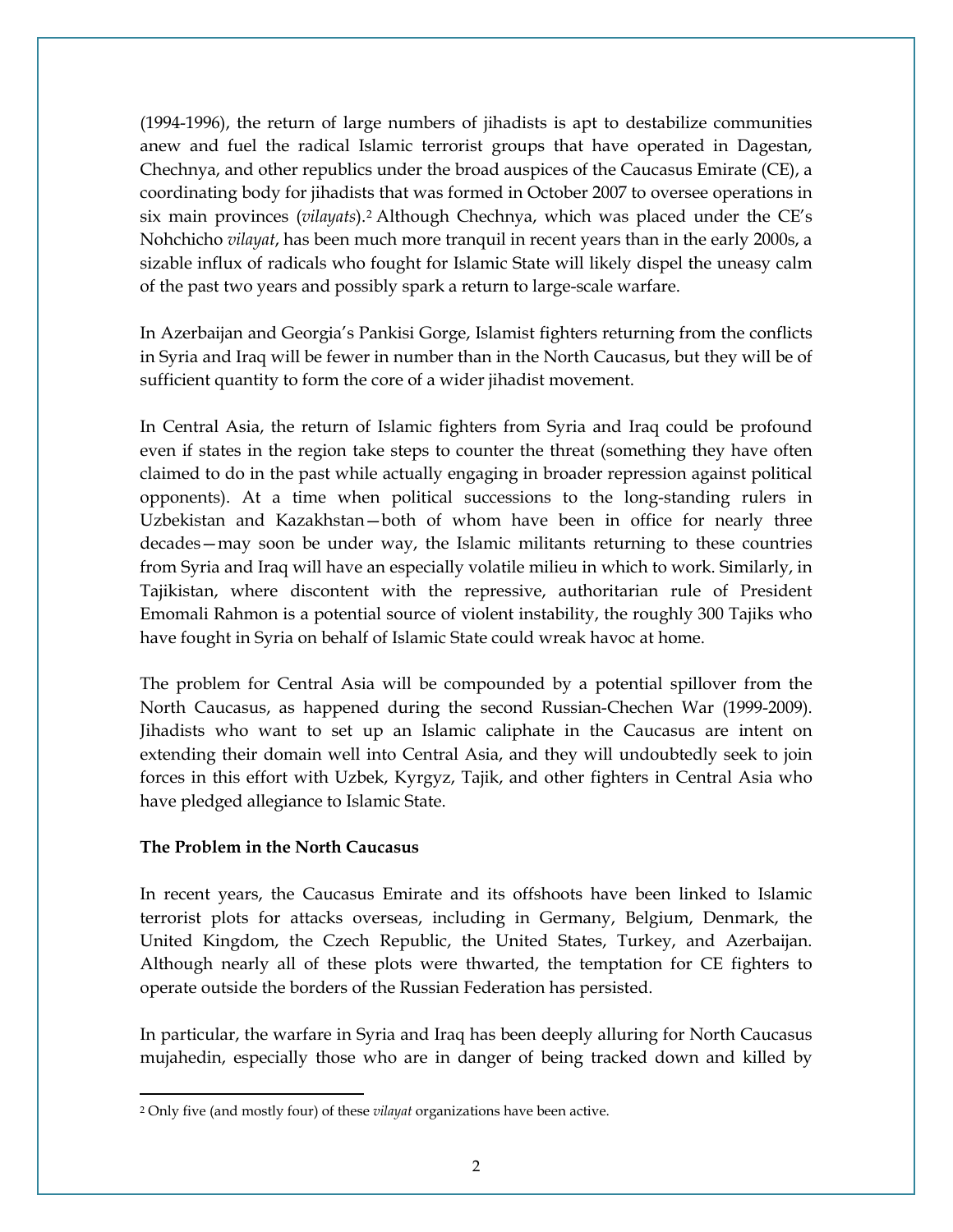(1994-1996), the return of large numbers of jihadists is apt to destabilize communities anew and fuel the radical Islamic terrorist groups that have operated in Dagestan, Chechnya, and other republics under the broad auspices of the Caucasus Emirate (CE), a coordinating body for jihadists that was formed in October 2007 to oversee operations in six main provinces (*vilayats*).[2](#page-1-0) Although Chechnya, which was placed under the CE's Nohchicho *vilayat*, has been much more tranquil in recent years than in the early 2000s, a sizable influx of radicals who fought for Islamic State will likely dispel the uneasy calm of the past two years and possibly spark a return to large-scale warfare.

In Azerbaijan and Georgia's Pankisi Gorge, Islamist fighters returning from the conflicts in Syria and Iraq will be fewer in number than in the North Caucasus, but they will be of sufficient quantity to form the core of a wider jihadist movement.

In Central Asia, the return of Islamic fighters from Syria and Iraq could be profound even if states in the region take steps to counter the threat (something they have often claimed to do in the past while actually engaging in broader repression against political opponents). At a time when political successions to the long-standing rulers in Uzbekistan and Kazakhstan—both of whom have been in office for nearly three decades—may soon be under way, the Islamic militants returning to these countries from Syria and Iraq will have an especially volatile milieu in which to work. Similarly, in Tajikistan, where discontent with the repressive, authoritarian rule of President Emomali Rahmon is a potential source of violent instability, the roughly 300 Tajiks who have fought in Syria on behalf of Islamic State could wreak havoc at home.

The problem for Central Asia will be compounded by a potential spillover from the North Caucasus, as happened during the second Russian-Chechen War (1999-2009). Jihadists who want to set up an Islamic caliphate in the Caucasus are intent on extending their domain well into Central Asia, and they will undoubtedly seek to join forces in this effort with Uzbek, Kyrgyz, Tajik, and other fighters in Central Asia who have pledged allegiance to Islamic State.

### **The Problem in the North Caucasus**

l

In recent years, the Caucasus Emirate and its offshoots have been linked to Islamic terrorist plots for attacks overseas, including in Germany, Belgium, Denmark, the United Kingdom, the Czech Republic, the United States, Turkey, and Azerbaijan. Although nearly all of these plots were thwarted, the temptation for CE fighters to operate outside the borders of the Russian Federation has persisted.

In particular, the warfare in Syria and Iraq has been deeply alluring for North Caucasus mujahedin, especially those who are in danger of being tracked down and killed by

<span id="page-1-0"></span><sup>2</sup> Only five (and mostly four) of these *vilayat* organizations have been active.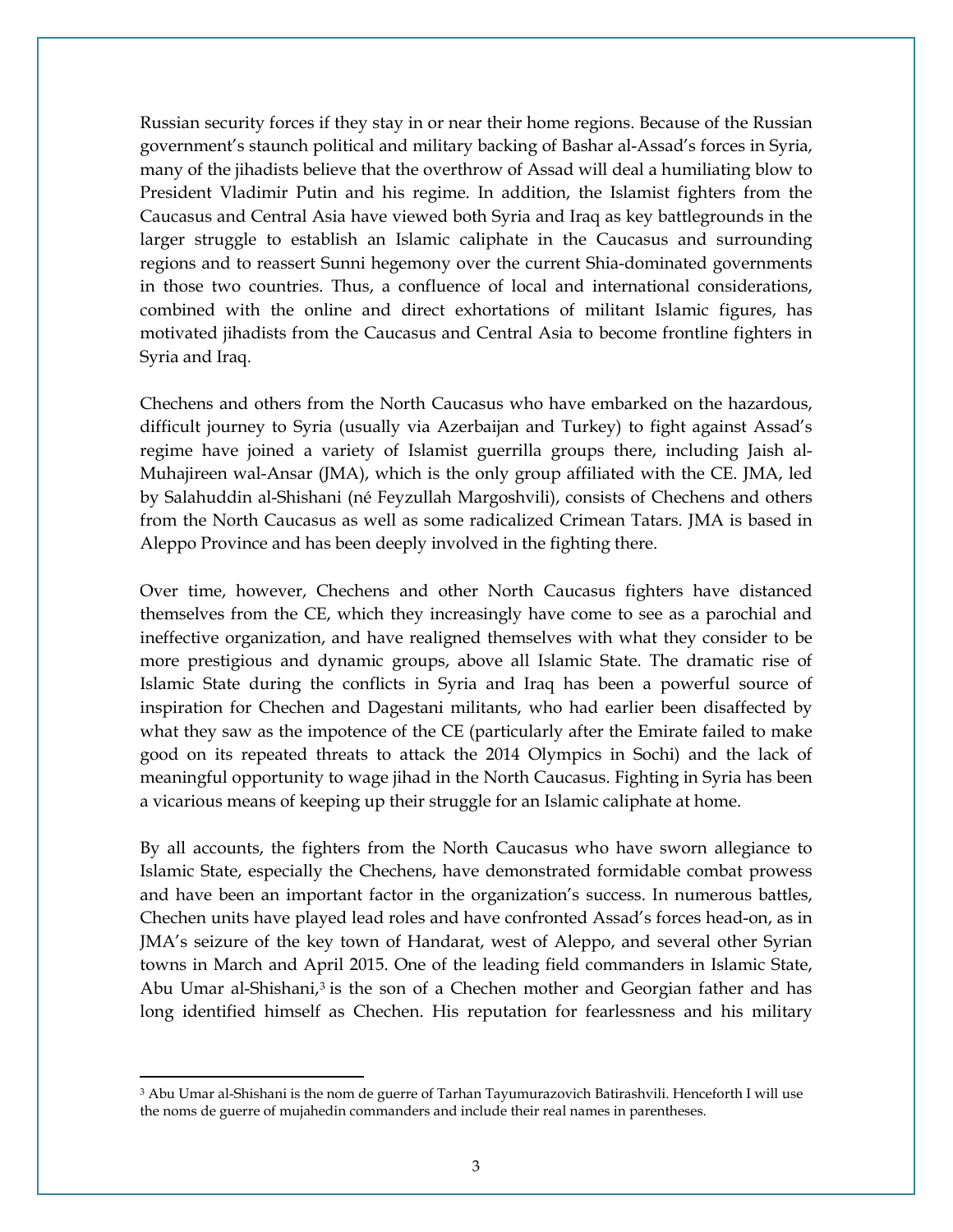Russian security forces if they stay in or near their home regions. Because of the Russian government's staunch political and military backing of Bashar al-Assad's forces in Syria, many of the jihadists believe that the overthrow of Assad will deal a humiliating blow to President Vladimir Putin and his regime. In addition, the Islamist fighters from the Caucasus and Central Asia have viewed both Syria and Iraq as key battlegrounds in the larger struggle to establish an Islamic caliphate in the Caucasus and surrounding regions and to reassert Sunni hegemony over the current Shia-dominated governments in those two countries. Thus, a confluence of local and international considerations, combined with the online and direct exhortations of militant Islamic figures, has motivated jihadists from the Caucasus and Central Asia to become frontline fighters in Syria and Iraq.

Chechens and others from the North Caucasus who have embarked on the hazardous, difficult journey to Syria (usually via Azerbaijan and Turkey) to fight against Assad's regime have joined a variety of Islamist guerrilla groups there, including Jaish al-Muhajireen wal-Ansar (JMA), which is the only group affiliated with the CE. JMA, led by Salahuddin al-Shishani (né Feyzullah Margoshvili), consists of Chechens and others from the North Caucasus as well as some radicalized Crimean Tatars. JMA is based in Aleppo Province and has been deeply involved in the fighting there.

Over time, however, Chechens and other North Caucasus fighters have distanced themselves from the CE, which they increasingly have come to see as a parochial and ineffective organization, and have realigned themselves with what they consider to be more prestigious and dynamic groups, above all Islamic State. The dramatic rise of Islamic State during the conflicts in Syria and Iraq has been a powerful source of inspiration for Chechen and Dagestani militants, who had earlier been disaffected by what they saw as the impotence of the CE (particularly after the Emirate failed to make good on its repeated threats to attack the 2014 Olympics in Sochi) and the lack of meaningful opportunity to wage jihad in the North Caucasus. Fighting in Syria has been a vicarious means of keeping up their struggle for an Islamic caliphate at home.

By all accounts, the fighters from the North Caucasus who have sworn allegiance to Islamic State, especially the Chechens, have demonstrated formidable combat prowess and have been an important factor in the organization's success. In numerous battles, Chechen units have played lead roles and have confronted Assad's forces head-on, as in JMA's seizure of the key town of Handarat, west of Aleppo, and several other Syrian towns in March and April 2015. One of the leading field commanders in Islamic State, Abu Umar al-Shishani, $3$  is the son of a Chechen mother and Georgian father and has long identified himself as Chechen. His reputation for fearlessness and his military

l

<span id="page-2-0"></span><sup>&</sup>lt;sup>3</sup> Abu Umar al-Shishani is the nom de guerre of Tarhan Tayumurazovich Batirashvili. Henceforth I will use the noms de guerre of mujahedin commanders and include their real names in parentheses.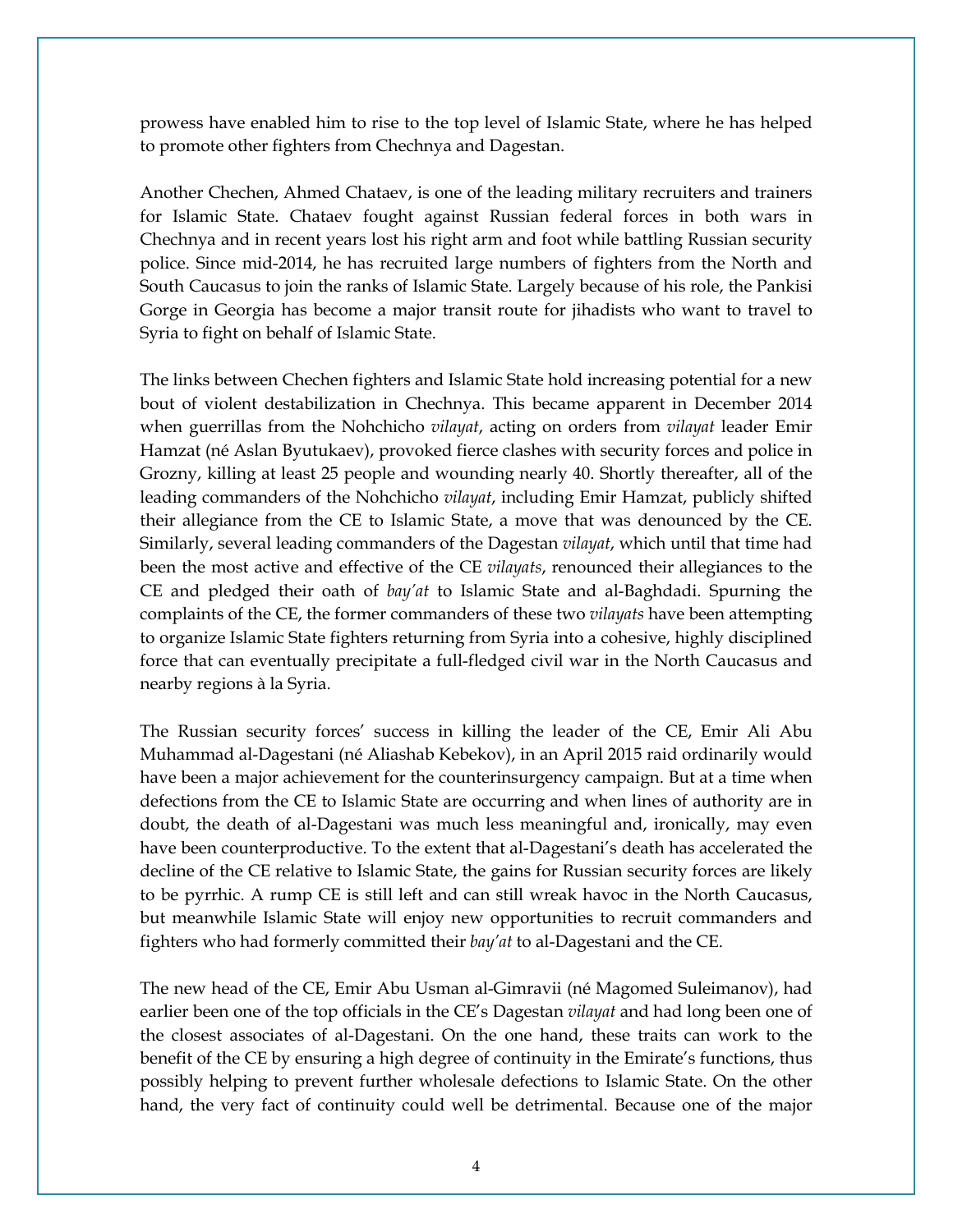prowess have enabled him to rise to the top level of Islamic State, where he has helped to promote other fighters from Chechnya and Dagestan.

Another Chechen, Ahmed Chataev, is one of the leading military recruiters and trainers for Islamic State. Chataev fought against Russian federal forces in both wars in Chechnya and in recent years lost his right arm and foot while battling Russian security police. Since mid-2014, he has recruited large numbers of fighters from the North and South Caucasus to join the ranks of Islamic State. Largely because of his role, the Pankisi Gorge in Georgia has become a major transit route for jihadists who want to travel to Syria to fight on behalf of Islamic State.

The links between Chechen fighters and Islamic State hold increasing potential for a new bout of violent destabilization in Chechnya. This became apparent in December 2014 when guerrillas from the Nohchicho *vilayat*, acting on orders from *vilayat* leader Emir Hamzat (né Aslan Byutukaev), provoked fierce clashes with security forces and police in Grozny, killing at least 25 people and wounding nearly 40. Shortly thereafter, all of the leading commanders of the Nohchicho *vilayat*, including Emir Hamzat, publicly shifted their allegiance from the CE to Islamic State, a move that was denounced by the CE. Similarly, several leading commanders of the Dagestan *vilayat*, which until that time had been the most active and effective of the CE *vilayats*, renounced their allegiances to the CE and pledged their oath of *bay'at* to Islamic State and al-Baghdadi. Spurning the complaints of the CE, the former commanders of these two *vilayats* have been attempting to organize Islamic State fighters returning from Syria into a cohesive, highly disciplined force that can eventually precipitate a full-fledged civil war in the North Caucasus and nearby regions à la Syria.

The Russian security forces' success in killing the leader of the CE, Emir Ali Abu Muhammad al-Dagestani (né Aliashab Kebekov), in an April 2015 raid ordinarily would have been a major achievement for the counterinsurgency campaign. But at a time when defections from the CE to Islamic State are occurring and when lines of authority are in doubt, the death of al-Dagestani was much less meaningful and, ironically, may even have been counterproductive. To the extent that al-Dagestani's death has accelerated the decline of the CE relative to Islamic State, the gains for Russian security forces are likely to be pyrrhic. A rump CE is still left and can still wreak havoc in the North Caucasus, but meanwhile Islamic State will enjoy new opportunities to recruit commanders and fighters who had formerly committed their *bay'at* to al-Dagestani and the CE.

The new head of the CE, Emir Abu Usman al-Gimravii (né Magomed Suleimanov), had earlier been one of the top officials in the CE's Dagestan *vilayat* and had long been one of the closest associates of al-Dagestani. On the one hand, these traits can work to the benefit of the CE by ensuring a high degree of continuity in the Emirate's functions, thus possibly helping to prevent further wholesale defections to Islamic State. On the other hand, the very fact of continuity could well be detrimental. Because one of the major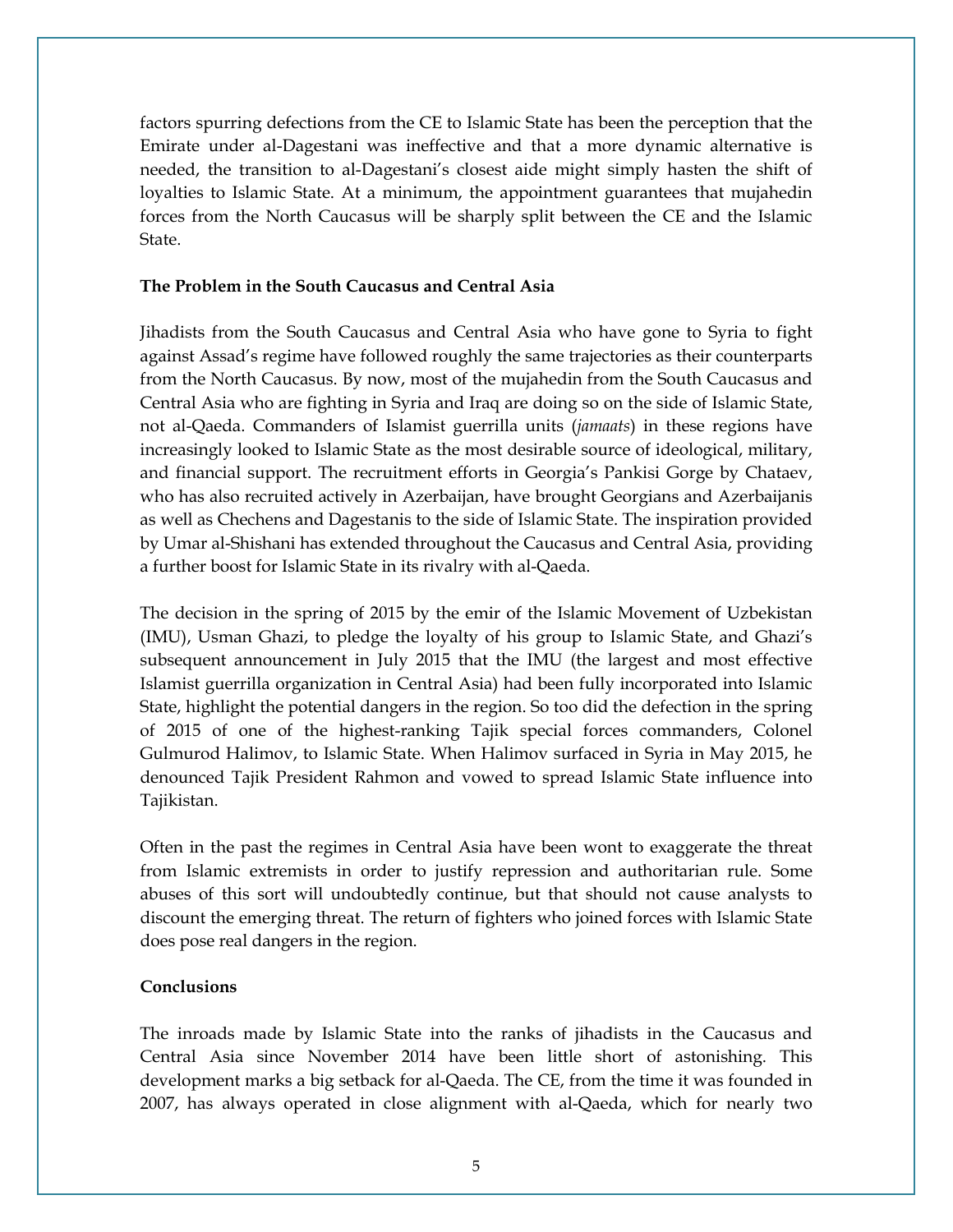factors spurring defections from the CE to Islamic State has been the perception that the Emirate under al-Dagestani was ineffective and that a more dynamic alternative is needed, the transition to al-Dagestani's closest aide might simply hasten the shift of loyalties to Islamic State. At a minimum, the appointment guarantees that mujahedin forces from the North Caucasus will be sharply split between the CE and the Islamic State.

#### **The Problem in the South Caucasus and Central Asia**

Jihadists from the South Caucasus and Central Asia who have gone to Syria to fight against Assad's regime have followed roughly the same trajectories as their counterparts from the North Caucasus. By now, most of the mujahedin from the South Caucasus and Central Asia who are fighting in Syria and Iraq are doing so on the side of Islamic State, not al-Qaeda. Commanders of Islamist guerrilla units (*jamaats*) in these regions have increasingly looked to Islamic State as the most desirable source of ideological, military, and financial support. The recruitment efforts in Georgia's Pankisi Gorge by Chataev, who has also recruited actively in Azerbaijan, have brought Georgians and Azerbaijanis as well as Chechens and Dagestanis to the side of Islamic State. The inspiration provided by Umar al-Shishani has extended throughout the Caucasus and Central Asia, providing a further boost for Islamic State in its rivalry with al-Qaeda.

The decision in the spring of 2015 by the emir of the Islamic Movement of Uzbekistan (IMU), Usman Ghazi, to pledge the loyalty of his group to Islamic State, and Ghazi's subsequent announcement in July 2015 that the IMU (the largest and most effective Islamist guerrilla organization in Central Asia) had been fully incorporated into Islamic State, highlight the potential dangers in the region. So too did the defection in the spring of 2015 of one of the highest-ranking Tajik special forces commanders, Colonel Gulmurod Halimov, to Islamic State. When Halimov surfaced in Syria in May 2015, he denounced Tajik President Rahmon and vowed to spread Islamic State influence into Tajikistan.

Often in the past the regimes in Central Asia have been wont to exaggerate the threat from Islamic extremists in order to justify repression and authoritarian rule. Some abuses of this sort will undoubtedly continue, but that should not cause analysts to discount the emerging threat. The return of fighters who joined forces with Islamic State does pose real dangers in the region.

### **Conclusions**

The inroads made by Islamic State into the ranks of jihadists in the Caucasus and Central Asia since November 2014 have been little short of astonishing. This development marks a big setback for al-Qaeda. The CE, from the time it was founded in 2007, has always operated in close alignment with al-Qaeda, which for nearly two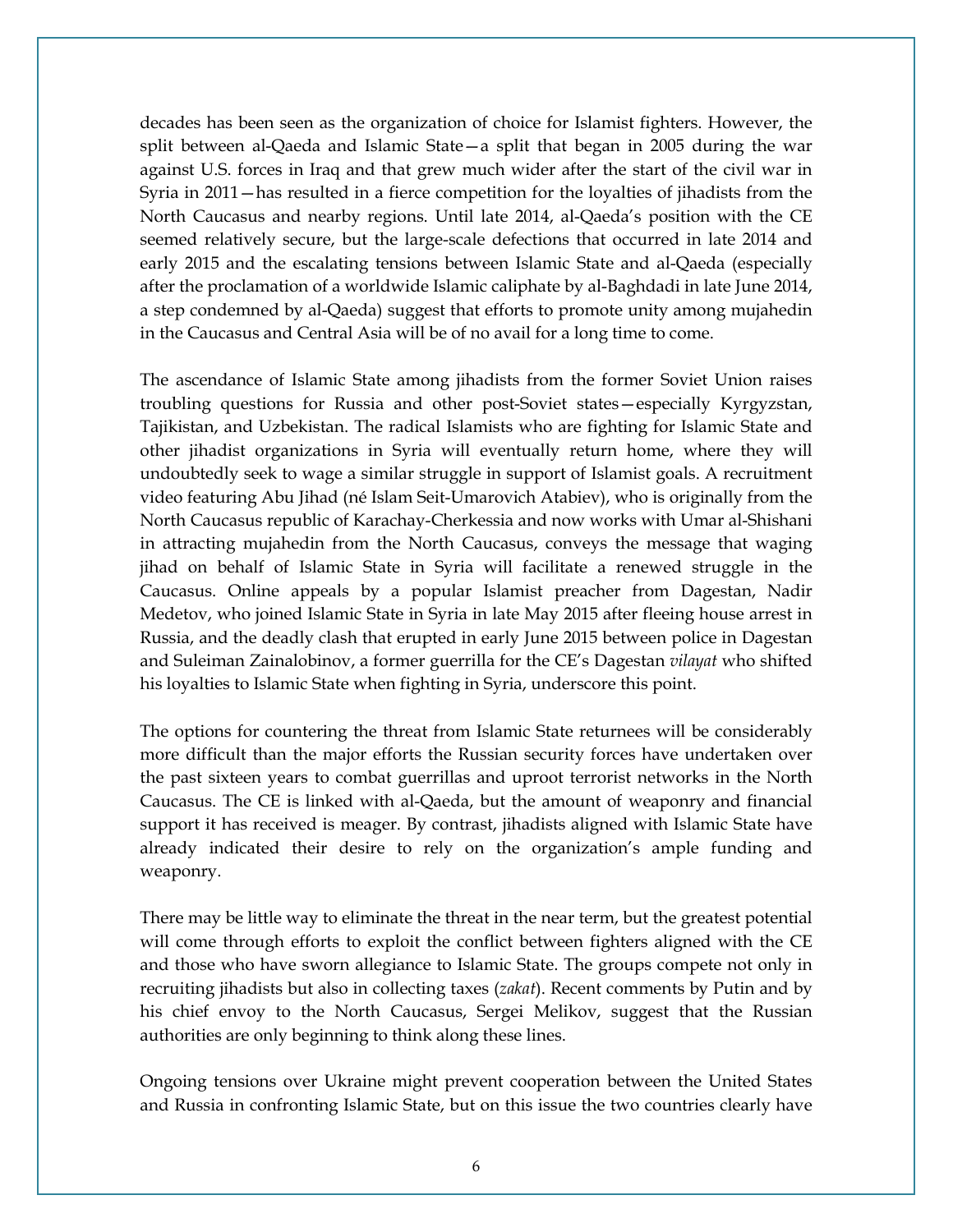decades has been seen as the organization of choice for Islamist fighters. However, the split between al-Qaeda and Islamic State—a split that began in 2005 during the war against U.S. forces in Iraq and that grew much wider after the start of the civil war in Syria in 2011—has resulted in a fierce competition for the loyalties of jihadists from the North Caucasus and nearby regions. Until late 2014, al-Qaeda's position with the CE seemed relatively secure, but the large-scale defections that occurred in late 2014 and early 2015 and the escalating tensions between Islamic State and al-Qaeda (especially after the proclamation of a worldwide Islamic caliphate by al-Baghdadi in late June 2014, a step condemned by al-Qaeda) suggest that efforts to promote unity among mujahedin in the Caucasus and Central Asia will be of no avail for a long time to come.

The ascendance of Islamic State among jihadists from the former Soviet Union raises troubling questions for Russia and other post-Soviet states—especially Kyrgyzstan, Tajikistan, and Uzbekistan. The radical Islamists who are fighting for Islamic State and other jihadist organizations in Syria will eventually return home, where they will undoubtedly seek to wage a similar struggle in support of Islamist goals. A recruitment video featuring Abu Jihad (né Islam Seit-Umarovich Atabiev), who is originally from the North Caucasus republic of Karachay-Cherkessia and now works with Umar al-Shishani in attracting mujahedin from the North Caucasus, conveys the message that waging jihad on behalf of Islamic State in Syria will facilitate a renewed struggle in the Caucasus. Online appeals by a popular Islamist preacher from Dagestan, Nadir Medetov, who joined Islamic State in Syria in late May 2015 after fleeing house arrest in Russia, and the deadly clash that erupted in early June 2015 between police in Dagestan and Suleiman Zainalobinov, a former guerrilla for the CE's Dagestan *vilayat* who shifted his loyalties to Islamic State when fighting in Syria, underscore this point.

The options for countering the threat from Islamic State returnees will be considerably more difficult than the major efforts the Russian security forces have undertaken over the past sixteen years to combat guerrillas and uproot terrorist networks in the North Caucasus. The CE is linked with al-Qaeda, but the amount of weaponry and financial support it has received is meager. By contrast, jihadists aligned with Islamic State have already indicated their desire to rely on the organization's ample funding and weaponry.

There may be little way to eliminate the threat in the near term, but the greatest potential will come through efforts to exploit the conflict between fighters aligned with the CE and those who have sworn allegiance to Islamic State. The groups compete not only in recruiting jihadists but also in collecting taxes (*zakat*). Recent comments by Putin and by his chief envoy to the North Caucasus, Sergei Melikov, suggest that the Russian authorities are only beginning to think along these lines.

Ongoing tensions over Ukraine might prevent cooperation between the United States and Russia in confronting Islamic State, but on this issue the two countries clearly have